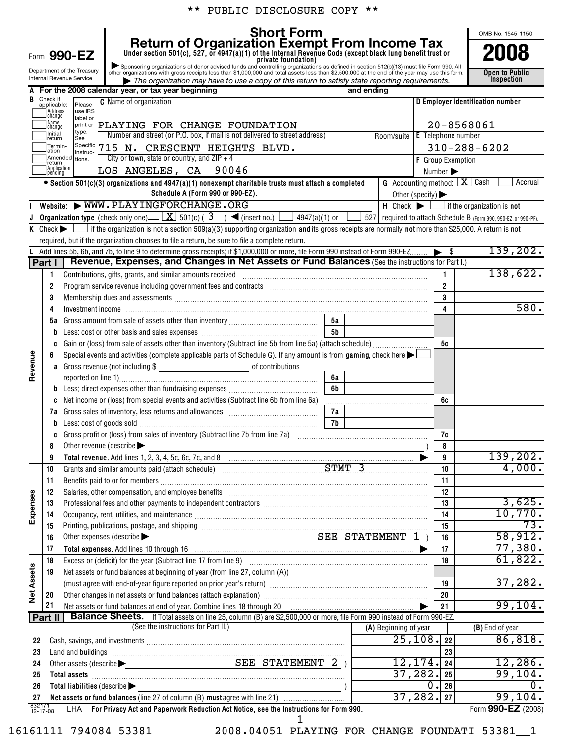|                                                                                                                                                                                                                                                                                           |                                                                                                                                                                                                                                      |                                                                                                                                                                                                                                |                                                                                  |                                                                                                                                                                                                                                | ** PUBLIC DISCLOSURE COPY        |                |            |                       |                 |                                                                          |                               |  |  |  |
|-------------------------------------------------------------------------------------------------------------------------------------------------------------------------------------------------------------------------------------------------------------------------------------------|--------------------------------------------------------------------------------------------------------------------------------------------------------------------------------------------------------------------------------------|--------------------------------------------------------------------------------------------------------------------------------------------------------------------------------------------------------------------------------|----------------------------------------------------------------------------------|--------------------------------------------------------------------------------------------------------------------------------------------------------------------------------------------------------------------------------|----------------------------------|----------------|------------|-----------------------|-----------------|--------------------------------------------------------------------------|-------------------------------|--|--|--|
| <b>Short Form</b><br>Return of Organization Exempt From Income Tax<br>Under section 501(c), 527, or 4947(a)(1) of the Internal Revenue Code (except black lung benefit trust or<br>Form 990-EZ                                                                                            |                                                                                                                                                                                                                                      |                                                                                                                                                                                                                                |                                                                                  |                                                                                                                                                                                                                                |                                  |                |            |                       |                 |                                                                          | OMB No. 1545-1150             |  |  |  |
| Sponsoring organizations of donor advised funds and controlling organizations as defined in section 512(b)(13) must file Form 990. All other organizations with gross receipts less than \$1,000,000 and total assets less than<br>Department of the Treasury<br>Internal Revenue Service |                                                                                                                                                                                                                                      |                                                                                                                                                                                                                                |                                                                                  |                                                                                                                                                                                                                                |                                  |                |            |                       |                 |                                                                          | <b>Open to Public</b>         |  |  |  |
|                                                                                                                                                                                                                                                                                           |                                                                                                                                                                                                                                      |                                                                                                                                                                                                                                | A For the 2008 calendar year, or tax year beginning                              | The organization may have to use a copy of this return to satisfy state reporting requirements.                                                                                                                                |                                  |                | and ending |                       |                 |                                                                          | <b>Inspection</b>             |  |  |  |
| В                                                                                                                                                                                                                                                                                         | Check if<br>applicable:                                                                                                                                                                                                              | <b>C</b> Name of organization<br>Please                                                                                                                                                                                        |                                                                                  |                                                                                                                                                                                                                                | D Employer identification number |                |            |                       |                 |                                                                          |                               |  |  |  |
|                                                                                                                                                                                                                                                                                           | <b>Address</b><br>Ichange                                                                                                                                                                                                            | use IRS                                                                                                                                                                                                                        |                                                                                  |                                                                                                                                                                                                                                |                                  |                |            |                       |                 |                                                                          |                               |  |  |  |
|                                                                                                                                                                                                                                                                                           | label or<br>] Name<br>PLAYING FOR CHANGE FOUNDATION<br>print or<br>Ichange                                                                                                                                                           |                                                                                                                                                                                                                                |                                                                                  |                                                                                                                                                                                                                                |                                  |                |            |                       |                 |                                                                          | 20-8568061                    |  |  |  |
|                                                                                                                                                                                                                                                                                           | type.<br>Initial<br>Number and street (or P.O. box, if mail is not delivered to street address)<br>Room/suite E Telephone number<br>See<br>return                                                                                    |                                                                                                                                                                                                                                |                                                                                  |                                                                                                                                                                                                                                |                                  |                |            |                       |                 |                                                                          |                               |  |  |  |
|                                                                                                                                                                                                                                                                                           | Specific<br>Termin-<br>715 N. CRESCENT HEIGHTS BLVD.<br>ation<br>Instruc-                                                                                                                                                            |                                                                                                                                                                                                                                |                                                                                  |                                                                                                                                                                                                                                |                                  |                |            |                       |                 |                                                                          | $310 - 288 - 6202$            |  |  |  |
|                                                                                                                                                                                                                                                                                           | City or town, state or country, and $ZIP + 4$<br>Amended tions.<br>return                                                                                                                                                            |                                                                                                                                                                                                                                |                                                                                  |                                                                                                                                                                                                                                |                                  |                |            |                       |                 | F Group Exemption                                                        |                               |  |  |  |
|                                                                                                                                                                                                                                                                                           | Application<br>LOS ANGELES, CA 90046<br>lpènding<br>$\bullet$ Section 501(c)(3) organizations and 4947(a)(1) nonexempt charitable trusts must attach a completed                                                                     |                                                                                                                                                                                                                                |                                                                                  |                                                                                                                                                                                                                                |                                  |                |            |                       |                 |                                                                          | Number ><br>Accrual           |  |  |  |
|                                                                                                                                                                                                                                                                                           |                                                                                                                                                                                                                                      |                                                                                                                                                                                                                                |                                                                                  | <b>G</b> Accounting method: $X$ Cash<br>Other (specify) $\blacktriangleright$                                                                                                                                                  |                                  |                |            |                       |                 |                                                                          |                               |  |  |  |
|                                                                                                                                                                                                                                                                                           |                                                                                                                                                                                                                                      |                                                                                                                                                                                                                                |                                                                                  | Schedule A (Form 990 or 990-EZ).<br>Website: WWW.PLAYINGFORCHANGE.ORG                                                                                                                                                          |                                  |                |            |                       |                 | $H$ Check $\blacktriangleright$ $\Box$ if the organization is <b>not</b> |                               |  |  |  |
|                                                                                                                                                                                                                                                                                           |                                                                                                                                                                                                                                      |                                                                                                                                                                                                                                |                                                                                  | <b>Organization type</b> (check only one) $\underline{\mathbf{X}}$ 501(c) (3) $\blacktriangleleft$ (insert no.) $\lfloor$ 4947(a)(1) or $\lfloor$                                                                              |                                  |                |            |                       |                 | 527 required to attach Schedule B (Form 990, 990-EZ, or 990-PF).         |                               |  |  |  |
|                                                                                                                                                                                                                                                                                           |                                                                                                                                                                                                                                      |                                                                                                                                                                                                                                |                                                                                  | K Check $\blacktriangleright$ $\blacksquare$ if the organization is not a section 509(a)(3) supporting organization and its gross receipts are normally not more than \$25,000. A return is not                                |                                  |                |            |                       |                 |                                                                          |                               |  |  |  |
|                                                                                                                                                                                                                                                                                           |                                                                                                                                                                                                                                      |                                                                                                                                                                                                                                |                                                                                  | required, but if the organization chooses to file a return, be sure to file a complete return.                                                                                                                                 |                                  |                |            |                       |                 |                                                                          |                               |  |  |  |
|                                                                                                                                                                                                                                                                                           |                                                                                                                                                                                                                                      |                                                                                                                                                                                                                                |                                                                                  | Add lines 5b, 6b, and 7b, to line 9 to determine gross receipts; if \$1,000,000 or more, file Form 990 instead of Form 990-EZ                                                                                                  |                                  |                |            |                       |                 |                                                                          | 139, 202.                     |  |  |  |
|                                                                                                                                                                                                                                                                                           | Part I                                                                                                                                                                                                                               |                                                                                                                                                                                                                                |                                                                                  | Revenue, Expenses, and Changes in Net Assets or Fund Balances (See the instructions for Part I.)                                                                                                                               |                                  |                |            |                       |                 |                                                                          |                               |  |  |  |
|                                                                                                                                                                                                                                                                                           | 1                                                                                                                                                                                                                                    |                                                                                                                                                                                                                                |                                                                                  | Contributions, gifts, grants, and similar amounts received                                                                                                                                                                     |                                  |                |            |                       |                 | $\mathbf{1}$                                                             | 138,622.                      |  |  |  |
|                                                                                                                                                                                                                                                                                           | 2                                                                                                                                                                                                                                    |                                                                                                                                                                                                                                |                                                                                  |                                                                                                                                                                                                                                |                                  |                |            |                       |                 | $\overline{2}$<br>3                                                      |                               |  |  |  |
|                                                                                                                                                                                                                                                                                           | 3<br>4                                                                                                                                                                                                                               |                                                                                                                                                                                                                                |                                                                                  | Membership dues and assessments [1111] Martin Martin Martin Martin Martin Martin Martin Martin Martin Martin M                                                                                                                 |                                  |                |            |                       |                 | 4                                                                        | 580.                          |  |  |  |
|                                                                                                                                                                                                                                                                                           |                                                                                                                                                                                                                                      |                                                                                                                                                                                                                                |                                                                                  |                                                                                                                                                                                                                                |                                  | 5a             |            |                       |                 |                                                                          |                               |  |  |  |
|                                                                                                                                                                                                                                                                                           |                                                                                                                                                                                                                                      |                                                                                                                                                                                                                                |                                                                                  |                                                                                                                                                                                                                                |                                  | 5 <sub>b</sub> |            |                       |                 |                                                                          |                               |  |  |  |
|                                                                                                                                                                                                                                                                                           |                                                                                                                                                                                                                                      |                                                                                                                                                                                                                                |                                                                                  |                                                                                                                                                                                                                                |                                  |                |            |                       |                 | 5c                                                                       |                               |  |  |  |
|                                                                                                                                                                                                                                                                                           |                                                                                                                                                                                                                                      |                                                                                                                                                                                                                                |                                                                                  | Special events and activities (complete applicable parts of Schedule G). If any amount is from $gaming$ , check here $\blacktriangleright$                                                                                     |                                  |                |            |                       |                 |                                                                          |                               |  |  |  |
| Revenue                                                                                                                                                                                                                                                                                   |                                                                                                                                                                                                                                      |                                                                                                                                                                                                                                |                                                                                  |                                                                                                                                                                                                                                |                                  |                |            |                       |                 |                                                                          |                               |  |  |  |
|                                                                                                                                                                                                                                                                                           |                                                                                                                                                                                                                                      |                                                                                                                                                                                                                                |                                                                                  |                                                                                                                                                                                                                                |                                  | 6а             |            |                       |                 |                                                                          |                               |  |  |  |
|                                                                                                                                                                                                                                                                                           |                                                                                                                                                                                                                                      |                                                                                                                                                                                                                                |                                                                                  |                                                                                                                                                                                                                                |                                  | 6b             |            |                       |                 |                                                                          |                               |  |  |  |
|                                                                                                                                                                                                                                                                                           |                                                                                                                                                                                                                                      |                                                                                                                                                                                                                                |                                                                                  | Net income or (loss) from special events and activities (Subtract line 6b from line 6a)                                                                                                                                        |                                  | 7a             |            |                       |                 | 6c                                                                       |                               |  |  |  |
|                                                                                                                                                                                                                                                                                           |                                                                                                                                                                                                                                      |                                                                                                                                                                                                                                |                                                                                  | 7b                                                                                                                                                                                                                             |                                  |                |            |                       |                 |                                                                          |                               |  |  |  |
|                                                                                                                                                                                                                                                                                           |                                                                                                                                                                                                                                      |                                                                                                                                                                                                                                | c Gross profit or (loss) from sales of inventory (Subtract line 7b from line 7a) |                                                                                                                                                                                                                                |                                  |                |            |                       | 7c              |                                                                          |                               |  |  |  |
|                                                                                                                                                                                                                                                                                           | 8                                                                                                                                                                                                                                    | Other revenue (describe $\blacktriangleright$                                                                                                                                                                                  |                                                                                  |                                                                                                                                                                                                                                |                                  |                |            |                       |                 | 8                                                                        |                               |  |  |  |
|                                                                                                                                                                                                                                                                                           | 9                                                                                                                                                                                                                                    |                                                                                                                                                                                                                                |                                                                                  |                                                                                                                                                                                                                                |                                  |                |            |                       |                 | 9                                                                        | 139, 202.                     |  |  |  |
|                                                                                                                                                                                                                                                                                           | 10                                                                                                                                                                                                                                   |                                                                                                                                                                                                                                |                                                                                  | Grants and similar amounts paid (attach schedule) Mathematics STMT 3                                                                                                                                                           |                                  |                |            |                       |                 | 10                                                                       | 4,000.                        |  |  |  |
|                                                                                                                                                                                                                                                                                           | 11                                                                                                                                                                                                                                   |                                                                                                                                                                                                                                |                                                                                  |                                                                                                                                                                                                                                |                                  |                |            |                       | 11              |                                                                          |                               |  |  |  |
|                                                                                                                                                                                                                                                                                           | 12                                                                                                                                                                                                                                   | Salaries, other compensation, and employee benefits [111] [12] manufactures in the compensation, and employee benefits [11] manufactures in the compensation, and employee benefits [11] manufactures in the competition of th |                                                                                  |                                                                                                                                                                                                                                |                                  |                |            |                       |                 | 12                                                                       |                               |  |  |  |
| Expenses                                                                                                                                                                                                                                                                                  | 13                                                                                                                                                                                                                                   |                                                                                                                                                                                                                                |                                                                                  |                                                                                                                                                                                                                                |                                  |                |            |                       |                 | 13                                                                       | 3,625.<br>10,770.             |  |  |  |
|                                                                                                                                                                                                                                                                                           | 14<br>15                                                                                                                                                                                                                             | Occupancy, rent, utilities, and maintenance manufactured and announcement of the manufacture of the manufactur                                                                                                                 |                                                                                  |                                                                                                                                                                                                                                |                                  |                |            |                       |                 | 14<br>15                                                                 | $\overline{73}$ .             |  |  |  |
|                                                                                                                                                                                                                                                                                           | 16                                                                                                                                                                                                                                   | SEE STATEMENT 1)<br>Other expenses (describe                                                                                                                                                                                   |                                                                                  |                                                                                                                                                                                                                                |                                  |                |            |                       |                 | 16                                                                       | 58,912.                       |  |  |  |
|                                                                                                                                                                                                                                                                                           | 17<br>Total expenses. Add lines 10 through 16 manufactured contains and contained a state of the state of the state of the state of the state of the state of the state of the state of the state of the state of the state of the s |                                                                                                                                                                                                                                |                                                                                  |                                                                                                                                                                                                                                |                                  |                |            |                       | 17              | 77,380.                                                                  |                               |  |  |  |
|                                                                                                                                                                                                                                                                                           | 18                                                                                                                                                                                                                                   |                                                                                                                                                                                                                                |                                                                                  |                                                                                                                                                                                                                                |                                  |                |            |                       |                 | 18                                                                       | 61,822.                       |  |  |  |
| <b>Net Assets</b>                                                                                                                                                                                                                                                                         | Net assets or fund balances at beginning of year (from line 27, column (A))<br>19                                                                                                                                                    |                                                                                                                                                                                                                                |                                                                                  |                                                                                                                                                                                                                                |                                  |                |            |                       |                 |                                                                          |                               |  |  |  |
|                                                                                                                                                                                                                                                                                           |                                                                                                                                                                                                                                      | (must agree with end-of-year figure reported on prior year's return) [[[[[[[[[[[[[[[[[[[[]]]]]]]]]]]                                                                                                                           |                                                                                  |                                                                                                                                                                                                                                |                                  |                |            |                       |                 |                                                                          | 37,282.                       |  |  |  |
|                                                                                                                                                                                                                                                                                           | 20                                                                                                                                                                                                                                   |                                                                                                                                                                                                                                |                                                                                  | 20                                                                                                                                                                                                                             |                                  |                |            |                       |                 |                                                                          |                               |  |  |  |
|                                                                                                                                                                                                                                                                                           | 21                                                                                                                                                                                                                                   |                                                                                                                                                                                                                                |                                                                                  | <b>Balance Sheets.</b> If Total assets on line 25, column (B) are \$2,500,000 or more, file Form 990 instead of Form 990-EZ.                                                                                                   |                                  |                |            |                       |                 | 21                                                                       | 99,104.                       |  |  |  |
|                                                                                                                                                                                                                                                                                           | Part II                                                                                                                                                                                                                              |                                                                                                                                                                                                                                |                                                                                  | (See the instructions for Part II.)                                                                                                                                                                                            |                                  |                |            | (A) Beginning of year |                 |                                                                          | (B) End of year               |  |  |  |
| 22                                                                                                                                                                                                                                                                                        |                                                                                                                                                                                                                                      |                                                                                                                                                                                                                                |                                                                                  |                                                                                                                                                                                                                                |                                  |                |            |                       | 25, 108.        | 22                                                                       | 86,818.                       |  |  |  |
| 23                                                                                                                                                                                                                                                                                        |                                                                                                                                                                                                                                      |                                                                                                                                                                                                                                |                                                                                  | Land and buildings [11] manufactured and an analysis of the contract of the contract of the contract of the contract of the contract of the contract of the contract of the contract of the contract of the contract of the co |                                  |                |            |                       |                 | 23                                                                       |                               |  |  |  |
| 24                                                                                                                                                                                                                                                                                        |                                                                                                                                                                                                                                      |                                                                                                                                                                                                                                |                                                                                  |                                                                                                                                                                                                                                | SEE STATEMENT 2 )                |                |            |                       | $12, 174.$   24 |                                                                          | 12,286.                       |  |  |  |
| 25                                                                                                                                                                                                                                                                                        |                                                                                                                                                                                                                                      | 37, 282.                                                                                                                                                                                                                       |                                                                                  |                                                                                                                                                                                                                                |                                  |                |            |                       | 25              | 99,104.                                                                  |                               |  |  |  |
| 26                                                                                                                                                                                                                                                                                        |                                                                                                                                                                                                                                      | Total liabilities (describe                                                                                                                                                                                                    |                                                                                  |                                                                                                                                                                                                                                |                                  |                |            |                       | υ.              | 26                                                                       | 0.                            |  |  |  |
| 27                                                                                                                                                                                                                                                                                        | 832171<br>12-17-08                                                                                                                                                                                                                   |                                                                                                                                                                                                                                |                                                                                  | For Privacy Act and Paperwork Reduction Act Notice, see the Instructions for Form 990.                                                                                                                                         |                                  |                |            |                       | $37, 282.$  27  |                                                                          | 99,104.<br>Form 990-EZ (2008) |  |  |  |
|                                                                                                                                                                                                                                                                                           |                                                                                                                                                                                                                                      | LHA                                                                                                                                                                                                                            |                                                                                  |                                                                                                                                                                                                                                | 1                                |                |            |                       |                 |                                                                          |                               |  |  |  |

16161111 794084 53381 2008.04051 PLAYING FOR CHANGE FOUNDATI 53381\_\_1